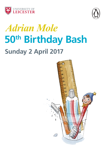



# *Adrian Mole* **50th Birthday Bash Sunday 2 April 2017**

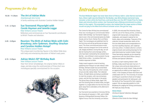### *Programme for the day*

- **10.30 11.30am The Art of Adrian Mole**  Attenborough Arts Centre A family workshop with illustrator Caroline Holden Hotopf.
- **1.15 2.15pm Sue Townsend: Playwright** *with Carole Hayman and Janette Legge* Peter Williams Lecture Theatre

Reflections and reminiscences on Sue Townsend's contribution to British Theatre and television.

#### **2.45 - 3.45pm Reunion: The Birth of Adrian Mole** *with Colin Broadway, John Tydeman, Geoffrey Strachan and Caroline Holden Hotopf*

#### Peter Williams Lecture Theatre

This unique event reunites key figures in the Adrian Mole story with lively and entertaining discussion of Adrian's early years.

#### **4.15 - 5.45pm Adrian Mole's 50th Birthday Bash**

#### Peter Williams Lecture Theatre

Hear from Simon Schatzberger, the original Adrian Mole on stage, and also enjoy the world premiere of three short new monologues specially commissioned for the occasion.



# *Introduction*

The East Midlands region has never been short of literary talent. Julian Barnes was born here, Alison Light was shortlisted for the Booker, Jean Binta Breeze mentored many Leicester writers while she lived here, and Jacob Ross won the 2017 Jhalak Prize for black, Asian and minority ethnic writers. Sue Townsend had a lifelong commitment to artistic talent in the region. This extended to actors: she insisted that her stage version of Mole would not play to the West End without Leicester actors. She got her way.

The Centre for New Writing has commissioned three new monologues to commemorate Adrian Mole's 50th birthday. Sue Townsend's legacy is clear to see in the commissioned pieces by Heide Goody and Ian Grant, Marilyn Ricci and Maria Taylor. The monologues are published here for the first time and will be performed at today's event. The three commissioned pieces evoke Mole's voice but transport him to the world of Lidl, Farage and Brexit. During the day, we will also be hearing from some teenage writers, who have been mentored by the Leicester-born Bali Rai – one of Britain's most successful Young Adult fiction writers - to produce their own creative responses to Mole.

Today's event supports a host of exciting publishing from Penguin to mark Adrian's 50th birthday. Michael Joseph has launched Mole Press, their very first poetry list, which consists of just one title: Adrian Mole: The Collected Poems. All eight diaries are being re-published to mark the occasion, with new anniversary covers, and the first two books in the series, The Secret Diary of Adrian Mole, Aged 13¾, and The Growing Pains of Adrian Mole, brought together in a single edition for the first time and given away free to attendees at this afternoon's birthday bash.

Sue Townsend was awarded an Honorary MA by the University of Leicester in 1991, and in 2008 became a Distinguished Honorary Fellow, the highest honour that the University can bestow.

In 2005, she entrusted the University Library with the care of her literary archive, containing original draft manuscripts, correspondence, notebooks, and research material for her books, plays and screenplays. Treasures of the collection include handwritten drafts of the first two Mole diaries and correspondence to Sue from Geoffrey Strachan, John Tydeman and many others. A related collection contains original artwork and working drawings for the early Mole books by Caroline Holden Hotopf. These fascinating materials can be viewed by appointment with the David Wilson Library's Archives and Special Collections.

As well as 2 April marking Adrian's 50th birthday, today would have seen Sue turn 71. Her unique voice and acute observations on British society are sorely missed. Today provides an opportunity to reflect on her legacy as a writer, in the company of those who knew and collaborated with her. The University of Leicester and Penguin would like to thank all of today's speakers and participants for taking part, and the family of Sue Townsend for their ongoing support. We are especially grateful to Colin Broadway for judging the writing commissions. We hope you enjoy the day.

#### **Simon Dixon**

*(Archives & Special Collections Manager)* 

**Corinne Fowler** 

*(Director of the Centre for New Writing)*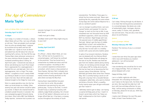### *The Age of Convenience* **Maria Taylor**

#### *(voice of Adrian Mole, Leicestershire accent)*

#### **Saturday April 1st 2017**

#### **11.45pm**

Can't sleep. In a matter of minutes, I, Adrian Albert Mole will turn fifty. I am now officially an old man. There are people much younger than me who are already dead. I suppose by lunchtime all my teeth and hair will have fallen out. I spoke to mum at dinner and asked how she felt about her only son reaching half a century. Her face fell the way Theresa May's does whenever someone on the news mentions Nicola Sturgeon. Mum muttered something about it being 'an April Fool's joke.' I noticed she was teary at dinner and drinking too much Pinot Grigot than is appropriate for a septuagenarian. I pointed this out, and dad said, 'she's not a septuagenarian, she's a Virgo! The virgin, Adrian!' I coughed so much I nearly ended up choking to death on mum's microwave toad in the hole. Mum left the table and tottered straight to the fridge for more wine.

Mum is a great-grandma now, but she has taken up social protest as a hobby. Other seventy-two year old women would've taken up crochet. In March she chained herself to a bollard outside Fenwicks in Leicester. She was campaigning against Fenwicks being shut down. Mum told a BBC East Midlands Today reporter, 'someone has to protect our

Leicester heritage! It's not all selfies and duck faces!'

I really must get to sleep.

Goodbye sweet youth! May angels sing you to your rest!

#### *(pause)*

#### **Sunday April 2nd 2017**

#### **12:03am**

It's official. I, Adrian Albert Mole, am now fifty. I still live next to my parents in a converted pigsty. I will forever be confined to the provinces. Time has forced me to compromise my intellectual status and find a menial occupation. According to HR, I am a customer experience enhancement consultant, which means a shop assistant at Tesco Express. My boss Tahir is already store manager and he's only twenty-eight. My job mainly involves showing alcoholics to the aisle where we keep the Blue Nun.

Having fewer responsibilities has given me more time to write. My proudest achievement was penning my very own political play, 'Trump on the Dole,' in which Donald Trump is sacked by humanity with celebrity Judge Rinder presiding. He is forced to live off Job Seeker's Allowance and can no longer afford fake tan. It has been a runaway success throughout the entirety of South

Leicestershire. The Melton Times gave it a whole five line review and said, 'Never seen anything like this, especially the scene where Trump begs Job Centre advisor Beyonce for a job as a sandwich packer.'

I am no stranger to political fame. Last June I joined Twitter and tweeted 'It's time for change' to mark my first trip to Aldi. It was retweeted over two thousand times by UKIP and Brexit supporters, which was certainly NOT my intention. Nigel Farage said I was 'the ignored voice of middle-aged Britain.' Dad said, 'Adrian's got the face of middleaged Britain to boot' and cackled like a maniac. I think he's going senile. He is the only old man I've ever seen in a mobility scooter with a pony tail and a leather jacket.

In spite of my innocent intentions, Pandora was not pleased with my infamous Brexit tweet. Pandora Braithwaite will always be the love of my life. Pandora was fired last year from her shadow cabinet job by Jeremy Corbyn, for not being commie enough. She is still Labour MP for Ashby-de-la-Zouche. She has her heart set on becoming the first woman Labour Prime Minister. She has definitely got better dress sense than Theresa May. She is currently having a secret on-off fling with a toy boy! He's a Socialist Remain campaigner called Giles, who went to Oxford and drives a Porsche. What's a wealthy, hunky twenty-seven year old gym enthusiast got that I haven't?

I definitely need to get to sleep. I am having a surprise birthday party at four. I read it in Gracie's secret diary which has 'Keep out, Dad!' emblazoned on the front in glitter nail varnish.

#### *(pause)*

#### **3:50 am**

Can't sleep. Flicking through my old diaries. It is no mean feat storing precious possessions in a converted pigsty. My diaries are a tale of existentialist angst, marriages, divorces, cancer, reality TV shows, kids, grandkids, war and red socks. They are also a love story about me and Pandora.

#### *(pause)*

#### *(voice of younger Adrian)*

#### **Monday February 9th 1981**

Pandora! The memory of you is a constant torment!

#### *(pause)*

I wrote that over thirty five years ago when I fell in love with Pandora as a lovelorn adolescent. I am still tormented! But with less hair.

I was wondering who would be first to wish me a happy birthday. Then at 3:20am my phone bleeped with a text:

#### Happy birthday, Aidy!

I am in a hellish nightclub with Giles. Exhausted. He's infuriating me because I won't dance to the Spice Girls. He thinks they are retro. We may both be older but I still burn with love and deep affection for you, Aidy. I will be seeing constituents in Ashby on Monday, please let me see you. With love forever, Pan xxx

I nearly cried. Whatever the next fifty years holds, at least I have Pandora's love...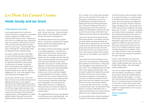### *Let Them Eat Custard Creams* **Heide Goody and Ian Grant**

#### **To Ms Lampwick, Arts Council,**

I must express grave concern at the Arts Council's refusal of my request for six thousand pounds to support our readers' group. I understand that times are hard. I imagine your role is that of an intellectual nurse, carrying out triage on art projects, offering a tot of rum to some and only comforting words to others. I want to cry out to you, "I am not dead! There is life in this body yet!" (and by body I mean the Westcotes Library Literature Group).

You raise a number of points in your letter. It is true that Westcotes Library already has another book group. Mrs Chapel's Wednesday Book Club is, as you say, thriving. Indeed, this Japanese knotweed of a book group, is nothing short of rampant. Sometimes there's only standing room available. But is this a good thing? Is it? Your letter makes frequent mention of the need for 'audience engagement' but, I ask, what audience? And what should they be engaged with?

Let me paint a picture for you. On the one hand, we have a room stuffed with pensioners, fighting over the tea urn and a plate of hobnobs as Mrs Chapel leads them through a discussion of The Time Traveller's Wife or some Girl with the Dragon Tattoo nonsense. And, on the other hand, in the much more modest meeting room that used to be the cleaner's cupboard (which, until the gefilte fish incident, smelled mainly of chemicals) we have the Westcotes Library Literature Group where a

select few – I attached a copy of our entrance exam. Did you have a go? – discuss the latest Kazuo Ishiguro, Haruki Murakami or Khaled Hosseini over grissini and poppy thins.

The difference between the two should be obvious. Our group is a hardy band of intrepid literary explorers and intrepid explorers do need provisions, Ms Lampwick.

You made no mention of the graphs I attached to my original application. I can send fresh copies if you have lost them. My accountant friend, Parvez, checked their accuracy. My research into the correlation between favourite snacks and literary predilections has produced some clear and undeniable results (I have submitted a short piece to the New Scientist). Digestives, rich teas and custard creams will attract fans of Harry Potter and Andy McNab. A garibaldi or a bourbon might indicate someone who will try a little Mark Haddon or at least attempt the first page of a Hilary Mantel. But if one is to give nourishment and succour to the mind of a true intellectual then it must be biscotti, florentines and perhaps even stroopwafels. Don't dismiss this as a simple matter of biscuits; it underpins the literary education of a whole city. Please do not look down on us and cry, "Let them eat custard creams!"

You suggested that the amount we requested for refreshments was unrealistically high. I am surprised that you, a Londoner, would say

this. I've eaten out in London and a sandwich alone can cost upwards of five pounds. Our book group's requirements are met from the delicatessens and bakeries along the Narborough Road, but times have become hard. The pound is falling and the price of imported goods is rising. We used to buy baklava from Mr Rahman's shop but he's sold up and returned to Libya where there is less religious persecution (thank you, Brexit Britain).

I sense from the tone of your letter that you have perhaps spoken to our librarian and that young Mr Tiptree has expressed doubt over the value that our group brings. He insists that the library cannot afford to maintain two book groups, even though he lets the U3A craft group have free use of our meeting room for much of the week and doesn't bat an eyelid when they turn the radiators up to maximum in June.

I have observed that the local library service seems to be more interested in being popular than anything to do with books. Craft groups! Free newspapers so the old blokes can pick their horses. Even a Wednesday book club that doesn't even appoint a literary expert, such as myself, to guide their reading; they actually pick their next book by a show of hands. I would have thought that, on both sides of the pond, we would have learned the hard lessons that come from populism and wanton democracy! Down that road lies madness, or even worse, Barry Kent novels. You might know Barry Kent's work. He wrote Dork's Diary based on a character called Aidan Vole. A shallow and foolish piece of nonsense that has gained him much undeserved popularity.

Our group prides itself on being focussed and innovative. Knowing that quality foodstuffs

nourish the mind as well as the body, the four of us (three if Mr Aheer is on call) have taken to having themed snacks to accompany our books. We've had rollmops with Moby Dick, gefilte fish with Zusak's The Book Thief and haggis with Robert Burns. We also have strict rules on books that are suitable for the group. Books with "The Girl…" in the title are passed over without further consideration. Anything with a Richard & Judy Book Club sticker isn't allowed across the threshold. And anything that has been made into a tawdry Hollywood blockbuster is given short shrift. Such is our passion for finding the right book that Mr Aheer and I nearly came to blows over The Life of Pi; but I argued strongly that using a CGI tiger showed a lack of integrity. If they can't make the effort to train up a real tiger then what does that say about the quality of the source material?

In short, I know that the Arts Council has money enough to fund our little group. You might consider diverting some cash from the English National Ballet – their tiara budget would probably suffice.

If you do not support English arts and culture, who will? Without nourishment our rarified group will die, along with maypole dancing, cheese rolling and swan upping – or worse still, some bureaucrat will attempt to combine them in an ill-advised attempt at streamlining. I'm sure I don't need to tell you that a swan can break a man's arm, especially if you try to engage it in maypole dancing. Don't say you weren't warned.

#### **Yours in anticipation, A Mole**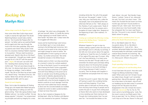### *Rocking On* **Marilyn Ricci**

#### *Adrian chops wood in the Piggeries yard.*

How come when Bear Grylls chops wood it splits in exactly the right place? No doubt Rabid Dog Robson would make a better job too. 'Got muscles like Popeye after his spinach,' my father said as we watched Rabid and his agent pick their way through the mud to the front door yesterday. Why were my parents even there? Why would I invite them to a business meeting? Rabid's response to my question: 'Did you read my previous ghosted work: Niamh's My Life on Shit Row?' was unexpected: 'I thought you made a good enough fist of it. Bit OTT with the poverty porn.' *(Sighs)* I'm not sure I can work with him. Standing there wearing Versace. My mother said: 'That suit was sharp enough to fell a tree.' An obvious barb about me refusing to change my cardigan. I had to defend myself: 'My Life on Shit Row has at least made me a decent living.' 'And about time too,' she replied. 'Better than all that naff stuff you bombarded the BBC with for years.'

#### *Sound of wood chopping*

Phew. Got to take this balaclava off. Boiling. Things got a bit heated after Rabid had gone. I can't help feeling I'm selling out with this ghost-writing. 'That's like saying Andrew Lloyd Webber sold out,' my mother scoffed. 'He was always popular!' I shouted. 'I've compromised my principles and sold my integrity for a mess

of pottage.' Her retort was unforgiveable: 'Oh get over yourself, Adrian. It's hardly like Jeremy Corbyn agreeing to re-build Trident with his bare hands!' My father said: 'Corbyn looks like he struggled with Meccano.'

Gracie and her boyfriend Igor were furious to miss Rabid. Igor's in two minds about coming to the birthday bash tomorrow. He's not even sure he wants to be a boy anymore and might change his name to Ivanka. 'No granddaughter of mine is going out with an Ivanka,' my mother announced. 'Not while Donald Fart remains in the White House.'

Pandora seems to think I can drop everything at a moment's notice for a whole weekend. As Chair of the Parish Council I'm worried sick about leaving the Parish Centre unguarded. Ever since someone nicked the CCTV system. And with Fiona Wellsup on the prowl we've been on red alert since the Bring and Buy to raise funds for elderlies abandoned by the care system. Who would have thought an Amaryllis with a tiny fire bomb strapped to the bottom could do so much damage? And that was much more subtle than Fiona's attempt to drive over the concrete bollards we installed outside the Centre to deter suicide bombers. At least we know they work.

But no, Pan's insisted on Skegness for the birthday bash. After her flirtation with Blairism she's now reverted to her parents' Trotskyism

including clichés like 'the will of the people'. But who are 'the people'? I asked. 'In this case, Aidy, your mad family who, unlike the real people, have to be pleased all the time otherwise Hell sets on fire.' 'Hell's always on fire, Pandora, if such a place exists.' Rude of her to hang up like that. Six caravans and a bungalow at Lower Lodge farm, Skegness at the beginning of April. Utter madness. I'm dreading it.

#### *Coming up to midnight the following evening. Sound of the Rolling Stones' 'Satisfaction' playing and loud party.*

Whatever happens I've got to stop my mother making a speech when the clock ticks past Midnight and it's officially my birthday. If she tells one more person about the agonies of getting my 'head the size of a football' out of her vagina fifty years ago I'll scream. Why can't she have dementia, or at least some memory loss like dad? Though sadly he can remember the distant past and keeps telling everyone about me throwing that sausage roll at the moon on my fourth birthday in a fit of pique because it hadn't come to my party. Then he droops with laughter in his wheelchair and people think he's had a stroke.

At least this punch is good. Takes the edge off having to watch the crumbling Fairfax-Lycett and Daisy bopping. I'll just have another glass to lubricate my throat aching from shouting inane things to people and to soothe the pain in my jaw from smiling back at Sharon Bott who seems to have developed a rictus standing over there staring at me. Though she's looking better than I've ever seen her. 'I've knocked the blokes on the

'ead, Adrian,' she said. 'Not literally I hope, Sharon,' I joshed. 'Some of 'em, obviously,' she said, 'but that's not what I mean.' 'She means she chucked the last tosser out three months ago and hasn't found another to replace him yet,' Glenn said. 'Don't let her know about your new found wealth, Aidy,' Pan whispered. But I've never read Sharon like that. This punch is very moreish. Whoops. Watch where I'm going.

#### *Sound of a party countdown from 5 to zero followed by Death Thrash metal music.*

Oh no. Not Rabid's latest CD. This is my parents doing. Oh no. My father's headbanging to it – look at him – like a wrinkled, demented Dobby from Harry Potter. And presumably the wild-eyed, scarlet-haired creature flying towards me screaming: 'My baby's half a century old!!' is my mother. Yes, it is. More punch. Where's the punch?

#### *Sound of the sea.*

#### *People squealing in the freezing water.*

#### *Adrian's gulping for air and thrashing about.*

It must have been the punch. How else could I forget my lifelong morbid fear of deep water? What came over me? At least I've got my rubber shoes, though I can't remember packing them. Was all this planned – getting me to tear down to the beach, strip off and run headlong into the dark ocean? Is someone trying to kill me? My penis has all but disappeared in the cold. At least the moon's come out. *(hysterical)* Ha, ha. Ha, ha. The moon came to my birthday party. 'Look, Pan, the moon's come to my fiftieth party! Only forty six years late!' Ha. ha. Where's my shoe? I can't hop out of the sea. Sharon? Is that you?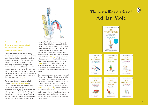

#### *On the beach early next morning. Sound of Adrian's footsteps on shingle, gulls crying, waves lapping.*

#### *He stops to stare at the sea.*

Calling out the coastguard wasn't strictly necessary last night. Sharon was perfectly safe once she'd reached the rocks. She's obviously a strong swimmer and, if all else failed, the tide would have brought her in. She did look quite magnificent, though, flying overhead in that harness. And to still be holding both my rubber shoes when they landed her was a miracle. There was really no need for some of the language used by the coastguard when he gave us his 'comprehensive safety briefing' on the beach afterwards. *(Sighs)*

The new day dawns on my second half century. *(Takes some deep breaths)* Here in bracing Skegness with Rabid's Death Metal still playing on a loop in my sore head. My parents are obviously trying to brainwash me into signing the contract with Rabid's agent. Though I do seem to have a talent for ghostwriting. 'I know all I've ever wanted is to write full time, Mother,' I shouted after her as she

staggered back to her caravan in the early hours in those ridiculous heels nearly tipping my father into a feeding trough, 'but at what price?' 'Get yourself a girlfriend,' she slurred over her shoulder. I can see now that Lo! The Flat Hills of My Homeland would never have worked as a novel but it was all my own work. Part of me. *(Pause)* Though I must say I didn't expect to be offered thirty thousand for ghosting Rabid, six times the normal fee. *(Pause)* Finlay-Rose looks as though she's expecting again and Glenn's post-traumatic stress lingers on. Wole still needs my help sometimes. And I have to think about Gracie's future.

Sun's breaking through now. I've always loved Pandora and I always will, but I have to let her go. My loins ached for Daisy as she clung to the decrepit shoulders of Fairfax-Lycett in the slow dances last night. But she's made her choice: to hitch her wagon to a dying breed. *(Takes more deep breaths)* Maybe good times are just around the corner. There was certainly a stirring down below when Sharon kissed me passionately in the sea last night before her ample rump went swimming off to rescue my rubber shoes.

### The bestselling diaries of **Adrian Mole**